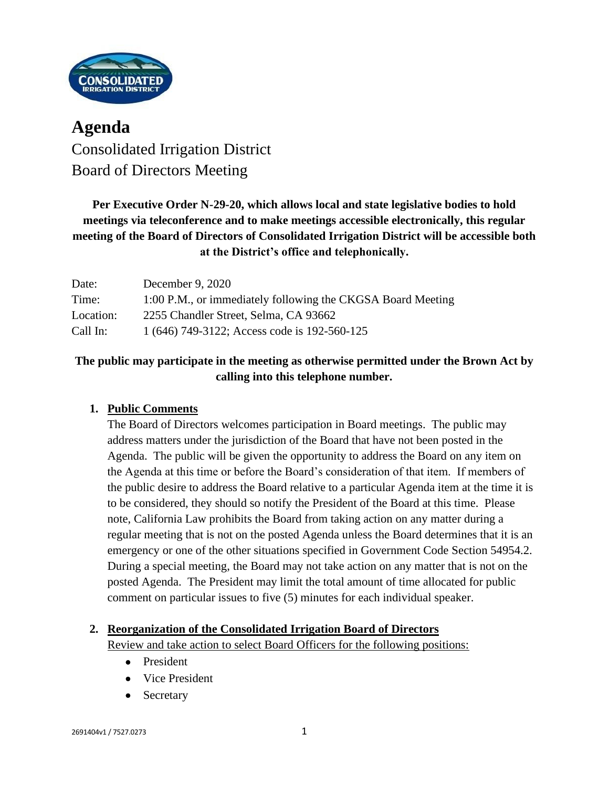

# **Agenda** Consolidated Irrigation District Board of Directors Meeting

**Per Executive Order N-29-20, which allows local and state legislative bodies to hold meetings via teleconference and to make meetings accessible electronically, this regular meeting of the Board of Directors of Consolidated Irrigation District will be accessible both at the District's office and telephonically.**

| Date:     | December 9, 2020                                            |
|-----------|-------------------------------------------------------------|
| Time:     | 1:00 P.M., or immediately following the CKGSA Board Meeting |
| Location: | 2255 Chandler Street, Selma, CA 93662                       |
| Call In:  | 1 (646) 749-3122; Access code is 192-560-125                |

# **The public may participate in the meeting as otherwise permitted under the Brown Act by calling into this telephone number.**

# **1. Public Comments**

The Board of Directors welcomes participation in Board meetings. The public may address matters under the jurisdiction of the Board that have not been posted in the Agenda. The public will be given the opportunity to address the Board on any item on the Agenda at this time or before the Board's consideration of that item. If members of the public desire to address the Board relative to a particular Agenda item at the time it is to be considered, they should so notify the President of the Board at this time. Please note, California Law prohibits the Board from taking action on any matter during a regular meeting that is not on the posted Agenda unless the Board determines that it is an emergency or one of the other situations specified in Government Code Section 54954.2. During a special meeting, the Board may not take action on any matter that is not on the posted Agenda. The President may limit the total amount of time allocated for public comment on particular issues to five (5) minutes for each individual speaker.

#### **2. Reorganization of the Consolidated Irrigation Board of Directors**

Review and take action to select Board Officers for the following positions:

- President
- Vice President
- **Secretary**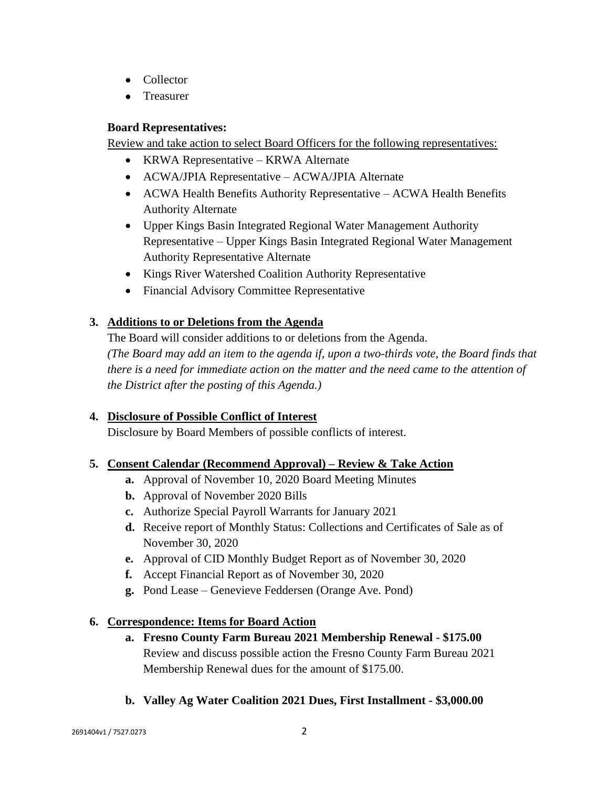- Collector
- Treasurer

#### **Board Representatives:**

Review and take action to select Board Officers for the following representatives:

- KRWA Representative KRWA Alternate
- ACWA/JPIA Representative ACWA/JPIA Alternate
- ACWA Health Benefits Authority Representative ACWA Health Benefits Authority Alternate
- Upper Kings Basin Integrated Regional Water Management Authority Representative – Upper Kings Basin Integrated Regional Water Management Authority Representative Alternate
- Kings River Watershed Coalition Authority Representative
- Financial Advisory Committee Representative

### **3. Additions to or Deletions from the Agenda**

The Board will consider additions to or deletions from the Agenda. *(The Board may add an item to the agenda if, upon a two-thirds vote, the Board finds that there is a need for immediate action on the matter and the need came to the attention of the District after the posting of this Agenda.)*

#### **4. Disclosure of Possible Conflict of Interest**

Disclosure by Board Members of possible conflicts of interest.

#### **5. Consent Calendar (Recommend Approval) – Review & Take Action**

- **a.** Approval of November 10, 2020 Board Meeting Minutes
- **b.** Approval of November 2020 Bills
- **c.** Authorize Special Payroll Warrants for January 2021
- **d.** Receive report of Monthly Status: Collections and Certificates of Sale as of November 30, 2020
- **e.** Approval of CID Monthly Budget Report as of November 30, 2020
- **f.** Accept Financial Report as of November 30, 2020
- **g.** Pond Lease Genevieve Feddersen (Orange Ave. Pond)

#### **6. Correspondence: Items for Board Action**

- **a. Fresno County Farm Bureau 2021 Membership Renewal - \$175.00** Review and discuss possible action the Fresno County Farm Bureau 2021 Membership Renewal dues for the amount of \$175.00.
- **b. Valley Ag Water Coalition 2021 Dues, First Installment - \$3,000.00**

2691404v1 / 7527.0273 2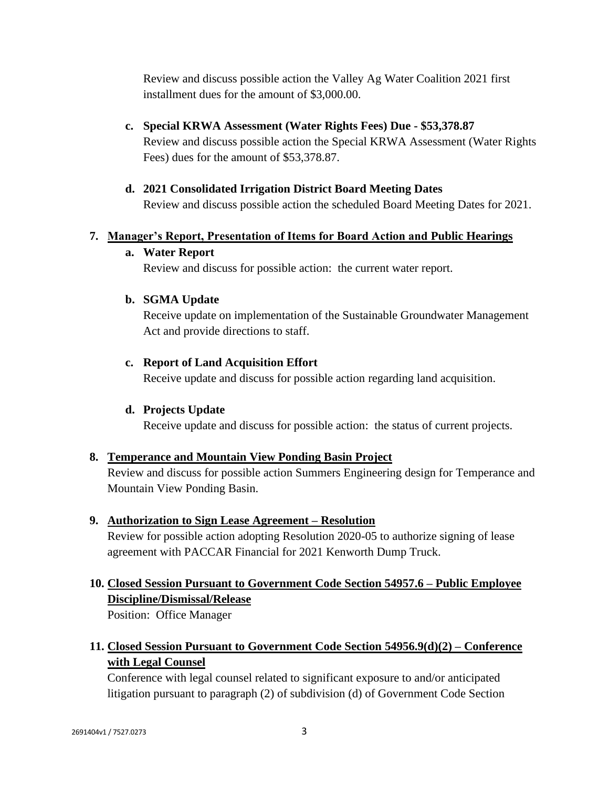Review and discuss possible action the Valley Ag Water Coalition 2021 first installment dues for the amount of \$3,000.00.

- **c. Special KRWA Assessment (Water Rights Fees) Due - \$53,378.87** Review and discuss possible action the Special KRWA Assessment (Water Rights Fees) dues for the amount of \$53,378.87.
- **d. 2021 Consolidated Irrigation District Board Meeting Dates** Review and discuss possible action the scheduled Board Meeting Dates for 2021.

#### **7. Manager's Report, Presentation of Items for Board Action and Public Hearings**

#### **a. Water Report**

Review and discuss for possible action: the current water report.

#### **b. SGMA Update**

Receive update on implementation of the Sustainable Groundwater Management Act and provide directions to staff.

### **c. Report of Land Acquisition Effort**

Receive update and discuss for possible action regarding land acquisition.

# **d. Projects Update**

Receive update and discuss for possible action: the status of current projects.

#### **8. Temperance and Mountain View Ponding Basin Project**

Review and discuss for possible action Summers Engineering design for Temperance and Mountain View Ponding Basin.

#### **9. Authorization to Sign Lease Agreement – Resolution**

Review for possible action adopting Resolution 2020-05 to authorize signing of lease agreement with PACCAR Financial for 2021 Kenworth Dump Truck.

# **10. Closed Session Pursuant to Government Code Section 54957.6 – Public Employee Discipline/Dismissal/Release**

Position: Office Manager

# **11. Closed Session Pursuant to Government Code Section 54956.9(d)(2) – Conference with Legal Counsel**

Conference with legal counsel related to significant exposure to and/or anticipated litigation pursuant to paragraph (2) of subdivision (d) of Government Code Section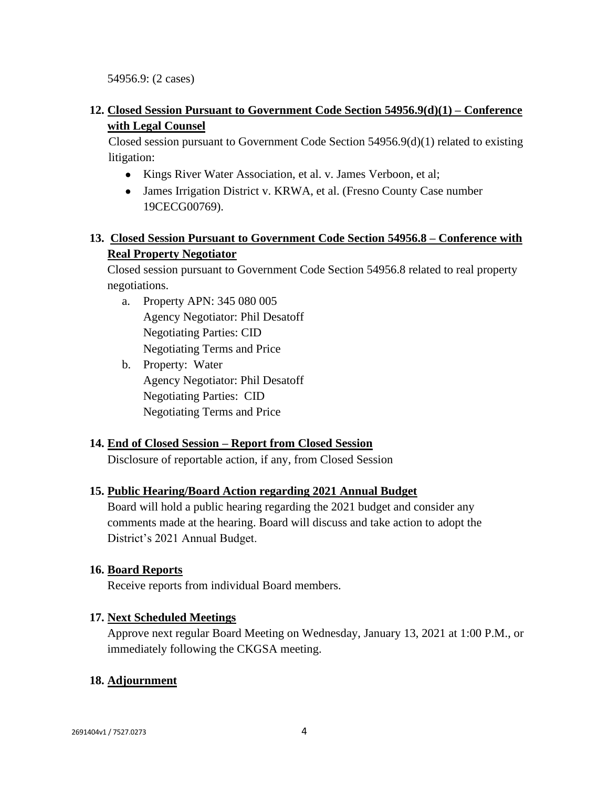54956.9: (2 cases)

### **12. Closed Session Pursuant to Government Code Section 54956.9(d)(1) – Conference with Legal Counsel**

Closed session pursuant to Government Code Section 54956.9(d)(1) related to existing litigation:

- Kings River Water Association, et al. v. James Verboon, et al;
- James Irrigation District v. KRWA, et al. (Fresno County Case number 19CECG00769).

## **13. Closed Session Pursuant to Government Code Section 54956.8 – Conference with Real Property Negotiator**

Closed session pursuant to Government Code Section 54956.8 related to real property negotiations.

- a. Property APN: 345 080 005 Agency Negotiator: Phil Desatoff Negotiating Parties: CID Negotiating Terms and Price
- b. Property: Water Agency Negotiator: Phil Desatoff Negotiating Parties: CID Negotiating Terms and Price

#### **14. End of Closed Session – Report from Closed Session**

Disclosure of reportable action, if any, from Closed Session

#### **15. Public Hearing/Board Action regarding 2021 Annual Budget**

Board will hold a public hearing regarding the 2021 budget and consider any comments made at the hearing. Board will discuss and take action to adopt the District's 2021 Annual Budget.

#### **16. Board Reports**

Receive reports from individual Board members.

#### **17. Next Scheduled Meetings**

Approve next regular Board Meeting on Wednesday, January 13, 2021 at 1:00 P.M., or immediately following the CKGSA meeting.

#### **18. Adjournment**